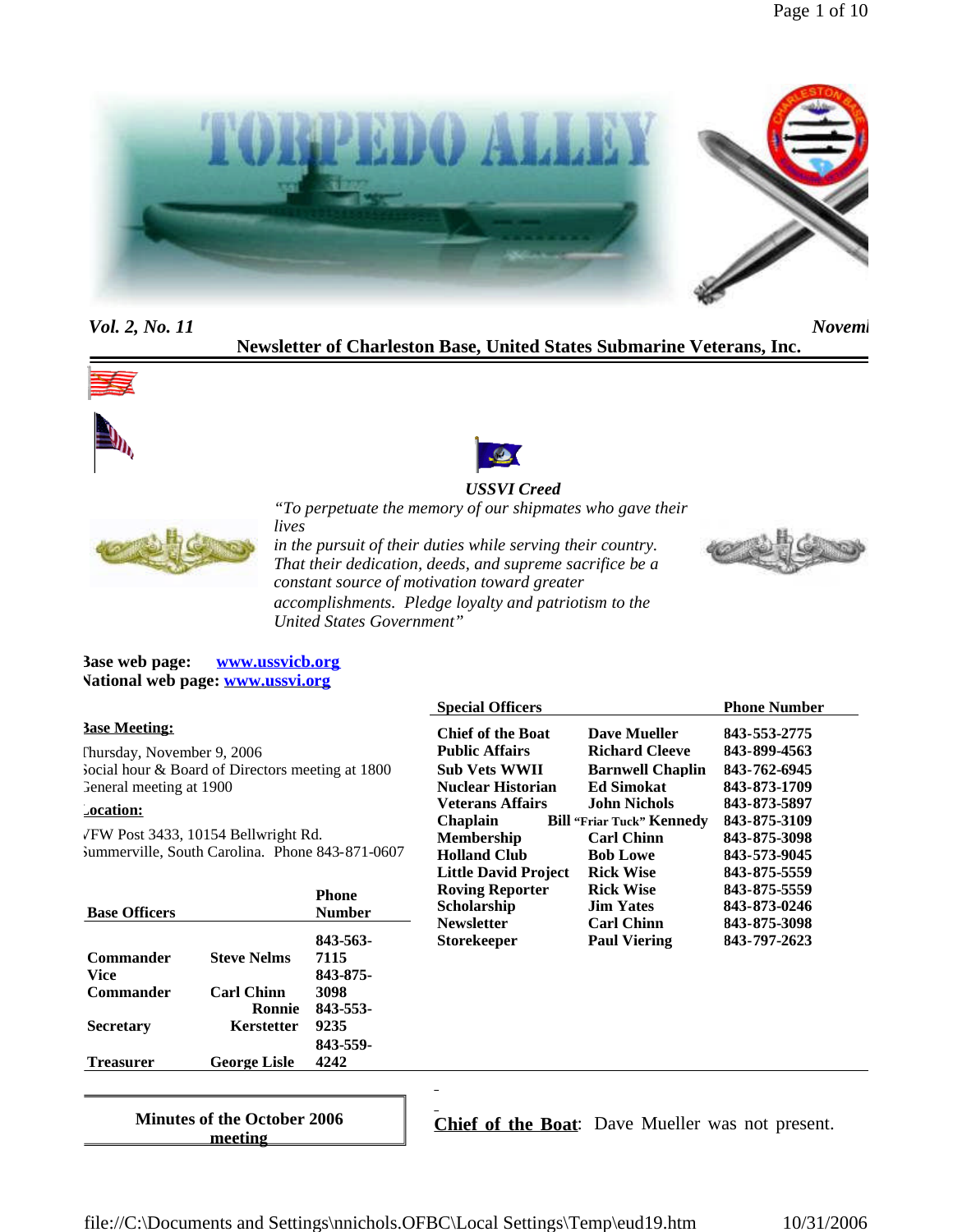

*Vol. 2, No. 11 November 2006 November 2006 2, November 2006 2, November 2006 2, November 2006 2, November 2006 2, November 2006 2, November 2006 2, November 2006 2, November 2006 2, November 2006 2* 

**Newsletter of Charleston Base, United States Submarine Veterans, Inc.**







## *USSVI Creed "To perpetuate the memory of our shipmates who gave their*



*lives in the pursuit of their duties while serving their country. That their dedication, deeds, and supreme sacrifice be a constant source of motivation toward greater accomplishments. Pledge loyalty and patriotism to the United States Government"*



**Base web page: www.ussvicb.org National web page: www.ussvi.org**

### **Base Meeting:**

Thursday, November 9, 2006 Social hour & Board of Directors meeting at 1800 General meeting at 1900

### **Location:**

VFW Post 3433, 10154 Bellwright Rd. Summerville, South Carolina. Phone 843-871-0607

|                     | Phone<br><b>Number</b> |
|---------------------|------------------------|
|                     | 843-563-               |
| <b>Steve Nelms</b>  | 7115                   |
|                     | 843-875-               |
| <b>Carl Chinn</b>   | 3098                   |
| Ronnie              | 843-553-               |
| Kerstetter          | 9235                   |
|                     | 843-559-               |
| <b>George Lisle</b> | 4242                   |
|                     |                        |

| <b>Chief of the Boat</b>    | <b>Dave Mueller</b>              | 843-553-2775 |
|-----------------------------|----------------------------------|--------------|
| <b>Public Affairs</b>       | <b>Richard Cleeve</b>            | 843-899-4563 |
| Sub Vets WWII               | <b>Barnwell Chaplin</b>          | 843-762-6945 |
| Nuclear Historian           | <b>Ed Simokat</b>                | 843-873-1709 |
| Veterans Affairs            | <b>John Nichols</b>              | 843-873-5897 |
| Chaplain                    | <b>Bill "Friar Tuck" Kennedy</b> | 843-875-3109 |
| Membership                  | <b>Carl Chinn</b>                | 843-875-3098 |
| Holland Club                | <b>Bob Lowe</b>                  | 843-573-9045 |
| <b>Little David Project</b> | <b>Rick Wise</b>                 | 843-875-5559 |
| <b>Roving Reporter</b>      | <b>Rick Wise</b>                 | 843-875-5559 |
| Scholarship                 | <b>Jim Yates</b>                 | 843-873-0246 |
| Newsletter                  | <b>Carl Chinn</b>                | 843-875-3098 |
| Storekeeper                 | <b>Paul Viering</b>              | 843-797-2623 |

**Special Officers Phone Number** 

**Minutes of the October 2006 meeting**

**Chief of the Boat**: Dave Mueller was not present.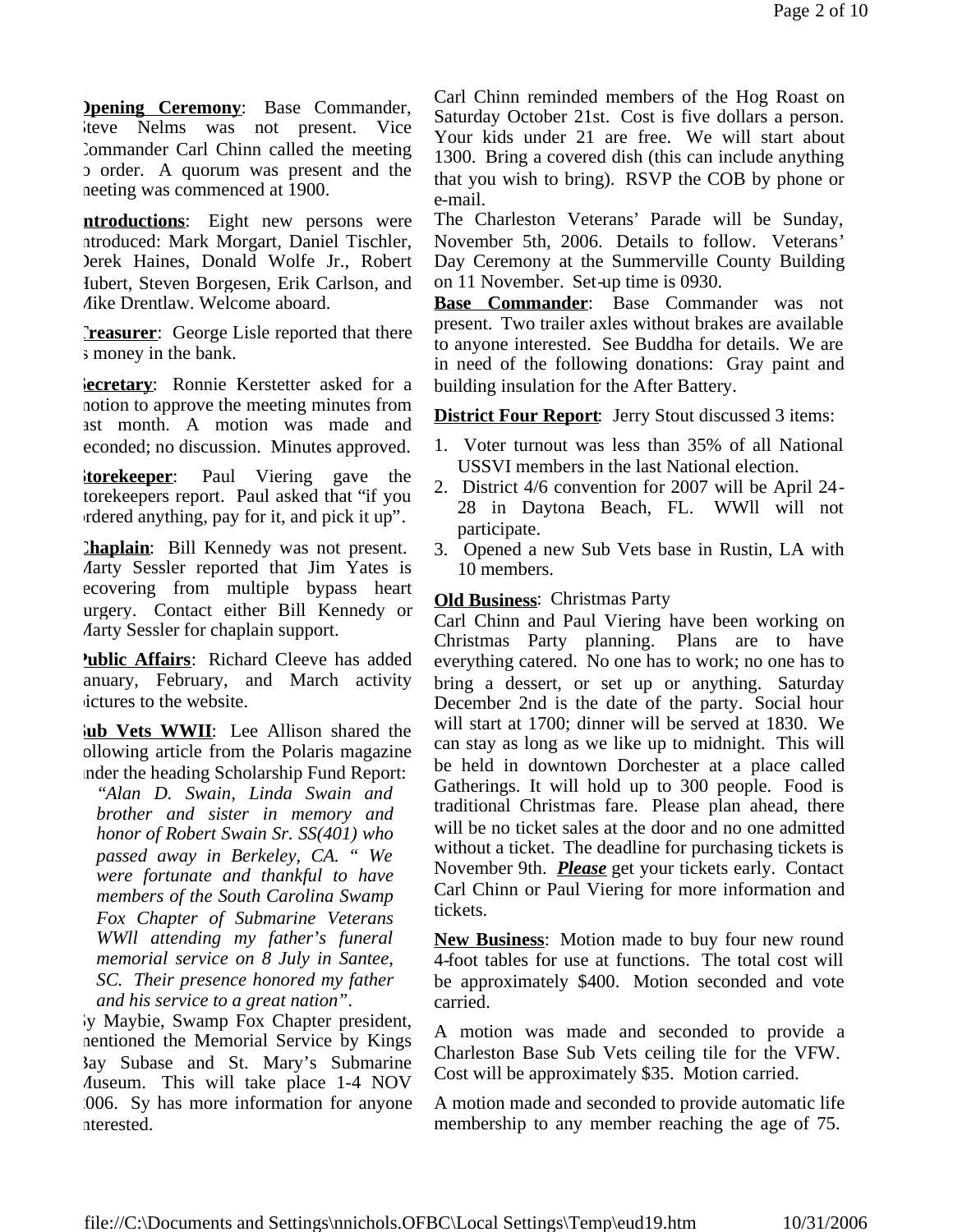**Dening Ceremony:** Base Commander, Steve Nelms was not present. Vice Commander Carl Chinn called the meeting to order. A quorum was present and the meeting was commenced at 1900.

**ntroductions**: Eight new persons were introduced: Mark Morgart, Daniel Tischler, Derek Haines, Donald Wolfe Jr., Robert Hubert, Steven Borgesen, Erik Carlson, and Mike Drentlaw. Welcome aboard.

**Treasurer:** George Lisle reported that there s money in the bank.

**Secretary:** Ronnie Kerstetter asked for a motion to approve the meeting minutes from ast month. A motion was made and econded; no discussion. Minutes approved.

**Storekeeper**: Paul Viering gave the torekeepers report. Paul asked that "if you ordered anything, pay for it, and pick it up".

**Chaplain**: Bill Kennedy was not present. Marty Sessler reported that Jim Yates is ecovering from multiple bypass heart surgery. Contact either Bill Kennedy or Marty Sessler for chaplain support.

**Public Affairs**: Richard Cleeve has added anuary, February, and March activity ictures to the website.

**kub Vets WWII**: Lee Allison shared the following article from the Polaris magazine under the heading Scholarship Fund Report:

*"Alan D. Swain, Linda Swain and brother and sister in memory and honor of Robert Swain Sr. SS(401) who passed away in Berkeley, CA. " We were fortunate and thankful to have members of the South Carolina Swamp Fox Chapter of Submarine Veterans WWll attending my father's funeral memorial service on 8 July in Santee, SC. Their presence honored my father and his service to a great nation".*

ly Maybie, Swamp Fox Chapter president, mentioned the Memorial Service by Kings Bay Subase and St. Mary's Submarine Museum. This will take place 1-4 NOV 2006. Sy has more information for anyone interested.

Carl Chinn reminded members of the Hog Roast on Saturday October 21st. Cost is five dollars a person. Your kids under 21 are free. We will start about 1300. Bring a covered dish (this can include anything that you wish to bring). RSVP the COB by phone or e-mail.

The Charleston Veterans' Parade will be Sunday, November 5th, 2006. Details to follow. Veterans' Day Ceremony at the Summerville County Building on 11 November. Set-up time is 0930.

**Base Commander**: Base Commander was not present. Two trailer axles without brakes are available to anyone interested. See Buddha for details. We are in need of the following donations: Gray paint and building insulation for the After Battery.

**District Four Report:** Jerry Stout discussed 3 items:

- 1. Voter turnout was less than 35% of all National USSVI members in the last National election.
- 2. District 4/6 convention for 2007 will be April 24- 28 in Daytona Beach, FL. WWll will not participate.
- 3. Opened a new Sub Vets base in Rustin, LA with 10 members.

# **Old Business**: Christmas Party

Carl Chinn and Paul Viering have been working on Christmas Party planning. Plans are to have everything catered. No one has to work; no one has to bring a dessert, or set up or anything. Saturday December 2nd is the date of the party. Social hour will start at 1700; dinner will be served at 1830. We can stay as long as we like up to midnight. This will be held in downtown Dorchester at a place called Gatherings. It will hold up to 300 people. Food is traditional Christmas fare. Please plan ahead, there will be no ticket sales at the door and no one admitted without a ticket. The deadline for purchasing tickets is November 9th. *Please* get your tickets early. Contact Carl Chinn or Paul Viering for more information and tickets.

**New Business**: Motion made to buy four new round 4-foot tables for use at functions. The total cost will be approximately \$400. Motion seconded and vote carried.

A motion was made and seconded to provide a Charleston Base Sub Vets ceiling tile for the VFW. Cost will be approximately \$35. Motion carried.

A motion made and seconded to provide automatic life membership to any member reaching the age of 75.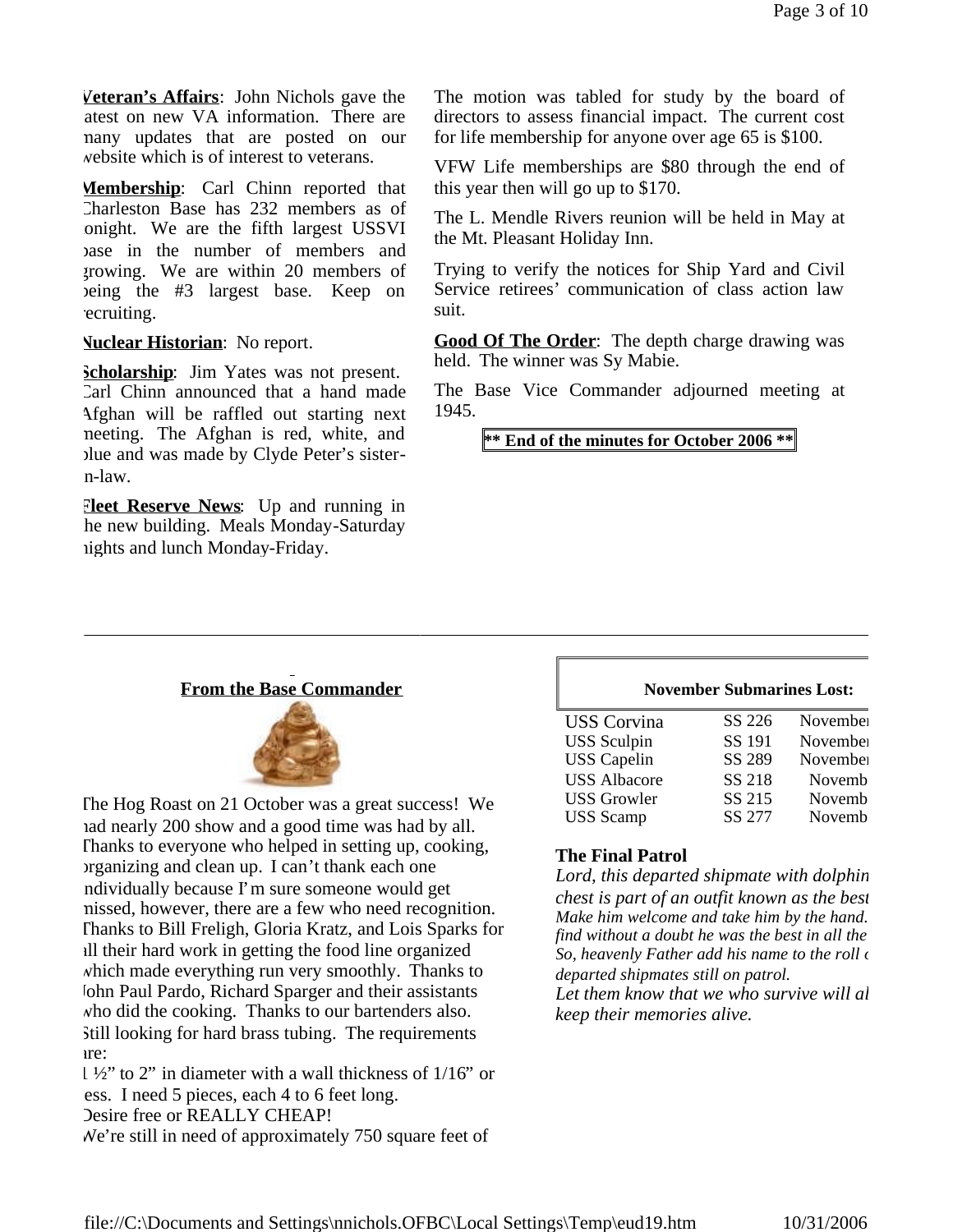**Veteran's Affairs**: John Nichols gave the atest on new VA information. There are many updates that are posted on our website which is of interest to veterans.

**Membership**: Carl Chinn reported that Charleston Base has 232 members as of onight. We are the fifth largest USSVI base in the number of members and growing. We are within 20 members of being the #3 largest base. Keep on ecruiting.

### **Nuclear Historian**: No report.

**Scholarship**: Jim Yates was not present. Carl Chinn announced that a hand made Afghan will be raffled out starting next meeting. The Afghan is red, white, and blue and was made by Clyde Peter's sistern-law.

**Fleet Reserve News**: Up and running in he new building. Meals Monday-Saturday nights and lunch Monday-Friday.

The motion was tabled for study by the board of directors to assess financial impact. The current cost for life membership for anyone over age 65 is \$100.

VFW Life memberships are \$80 through the end of this year then will go up to \$170.

The L. Mendle Rivers reunion will be held in May at the Mt. Pleasant Holiday Inn.

Trying to verify the notices for Ship Yard and Civil Service retirees' communication of class action law suit.

**Good Of The Order**: The depth charge drawing was held. The winner was Sy Mabie.

The Base Vice Commander adjourned meeting at 1945.

**\*\* End of the minutes for October 2006 \*\***

### **From the Base Commander**



The Hog Roast on 21 October was a great success! We had nearly 200 show and a good time was had by all. Thanks to everyone who helped in setting up, cooking, organizing and clean up. I can't thank each one ndividually because I'm sure someone would get missed, however, there are a few who need recognition. Thanks to Bill Freligh, Gloria Kratz, and Lois Sparks for all their hard work in getting the food line organized which made everything run very smoothly. Thanks to Iohn Paul Pardo, Richard Sparger and their assistants who did the cooking. Thanks to our bartenders also. Still looking for hard brass tubing. The requirements are:

1 ½" to 2" in diameter with a wall thickness of 1/16" or less. I need 5 pieces, each 4 to 6 feet long. Desire free or REALLY CHEAP! We're still in need of approximately 750 square feet of

#### **November Submarines Lost:**

| SS 226<br>November<br><b>USS</b> Corvina |
|------------------------------------------|
|                                          |
| SS 191<br><b>USS</b> Sculpin<br>November |
| <b>USS</b> Capelin<br>SS 289<br>November |
| SS 218<br><b>USS Albacore</b><br>Novemb  |
| SS 215<br><b>USS Growler</b><br>Novemb   |
| SS 277<br><b>USS</b> Scamp<br>Novemb     |

### **The Final Patrol**

Lord, this departed shipmate with dolphin *chest is part of an outfit known as the best. Make him welcome and take him by the hand. find without a doubt he was the best in all the* So, heavenly Father add his name to the roll of *departed shipmates still on patrol.* Let them know that we who survive will al *keep their memories alive.*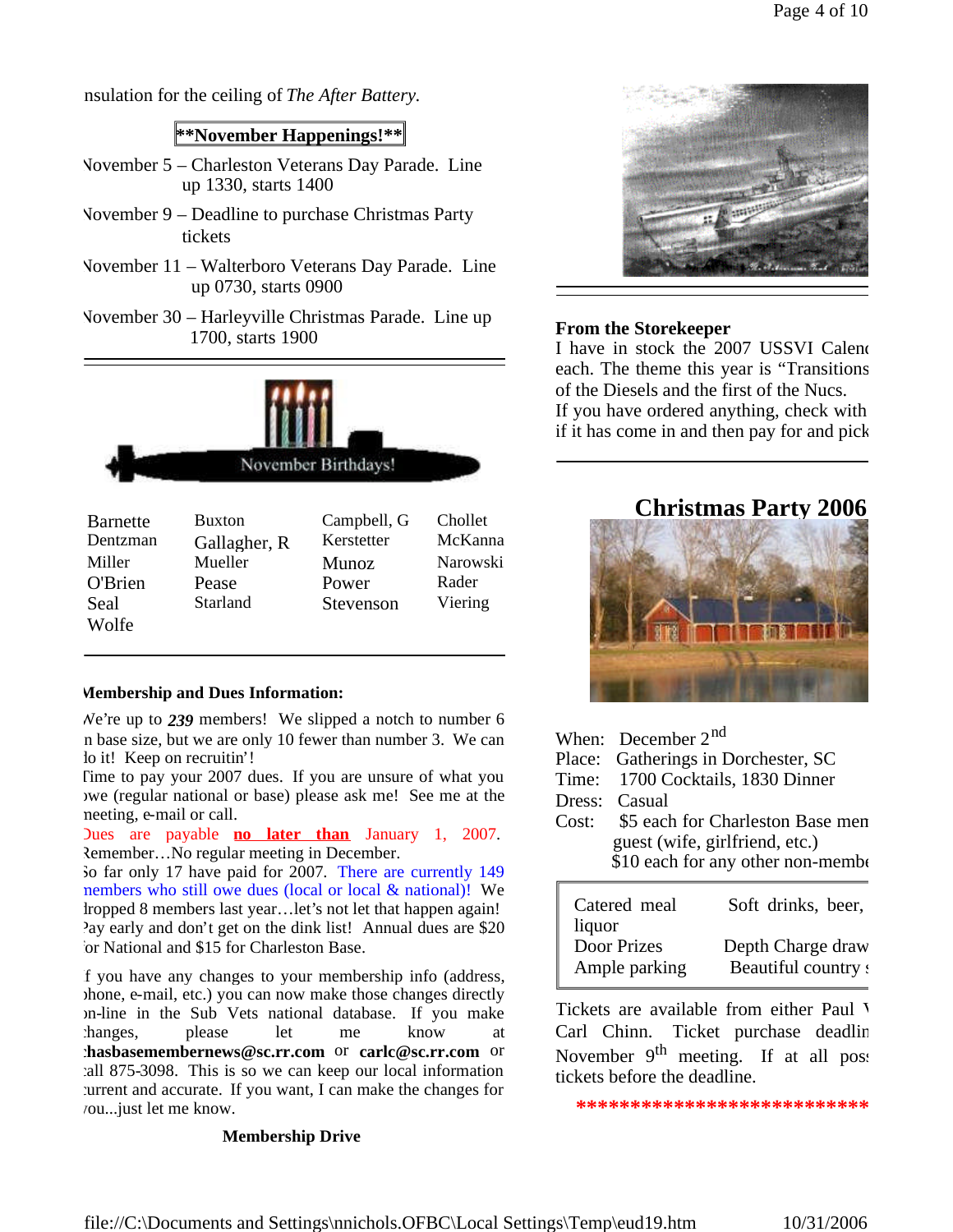nsulation for the ceiling of *The After Battery*.

# **\*\*November Happenings!\*\***

- November 5 Charleston Veterans Day Parade. Line up 1330, starts 1400
- November 9 Deadline to purchase Christmas Party tickets
- November 11 Walterboro Veterans Day Parade. Line up 0730, starts 0900
- November 30 Harleyville Christmas Parade. Line up 1700, starts 1900



| <b>Barnette</b> | <b>Buxton</b> | Campbell, G  | Chollet  |
|-----------------|---------------|--------------|----------|
| Dentzman        | Gallagher, R  | Kerstetter   | McKanna  |
| Miller          | Mueller       | <b>Munoz</b> | Narowski |
| <b>O'Brien</b>  | Pease         | Power        | Rader    |
| Seal            | Starland      | Stevenson    | Viering  |
| Wolfe           |               |              |          |

# **Membership and Dues Information:**

We're up to *239* members! We slipped a notch to number 6 in base size, but we are only 10 fewer than number 3. We can lo it! Keep on recruitin'!

Time to pay your 2007 dues. If you are unsure of what you owe (regular national or base) please ask me! See me at the meeting, e-mail or call.

Dues are payable **no later than** January 1, 2007. Remember…No regular meeting in December.

So far only 17 have paid for 2007. There are currently 149 members who still owe dues (local or local & national)! We dropped 8 members last year…let's not let that happen again! Pay early and don't get on the dink list! Annual dues are \$20 for National and \$15 for Charleston Base.

If you have any changes to your membership info (address, phone, e-mail, etc.) you can now make those changes directly on-line in the Sub Vets national database. If you make changes, please let me know at **chasbasemembernews@sc.rr.com** or **carlc@sc.rr.com** or call 875-3098. This is so we can keep our local information current and accurate. If you want, I can make the changes for you...just let me know.

# **Membership Drive**



# **From the Storekeeper**

I have in stock the 2007 USSVI Calend each. The theme this year is "Transitions of the Diesels and the first of the Nucs.

If you have ordered anything, check with if it has come in and then pay for and pick

# **Christmas Party 2006**



- When: December 2<sup>nd</sup>
- Place: Gatherings in Dorchester, SC
- Time: 1700 Cocktails, 1830 Dinner
- Dress: Casual
- Cost: \$5 each for Charleston Base men guest (wife, girlfriend, etc.) \$10 each for any other non-member

| Catered meal<br>liquor | Soft drinks, beer,  |
|------------------------|---------------------|
| Door Prizes            | Depth Charge draw   |
| Ample parking          | Beautiful country s |

Tickets are available from either Paul V Carl Chinn. Ticket purchase deadline November 9<sup>th</sup> meeting. If at all post tickets before the deadline.

**\*\*\*\*\*\*\*\*\*\*\*\*\*\*\*\*\*\*\*\*\*\*\*\*\*\*\*\*\*\*\*\***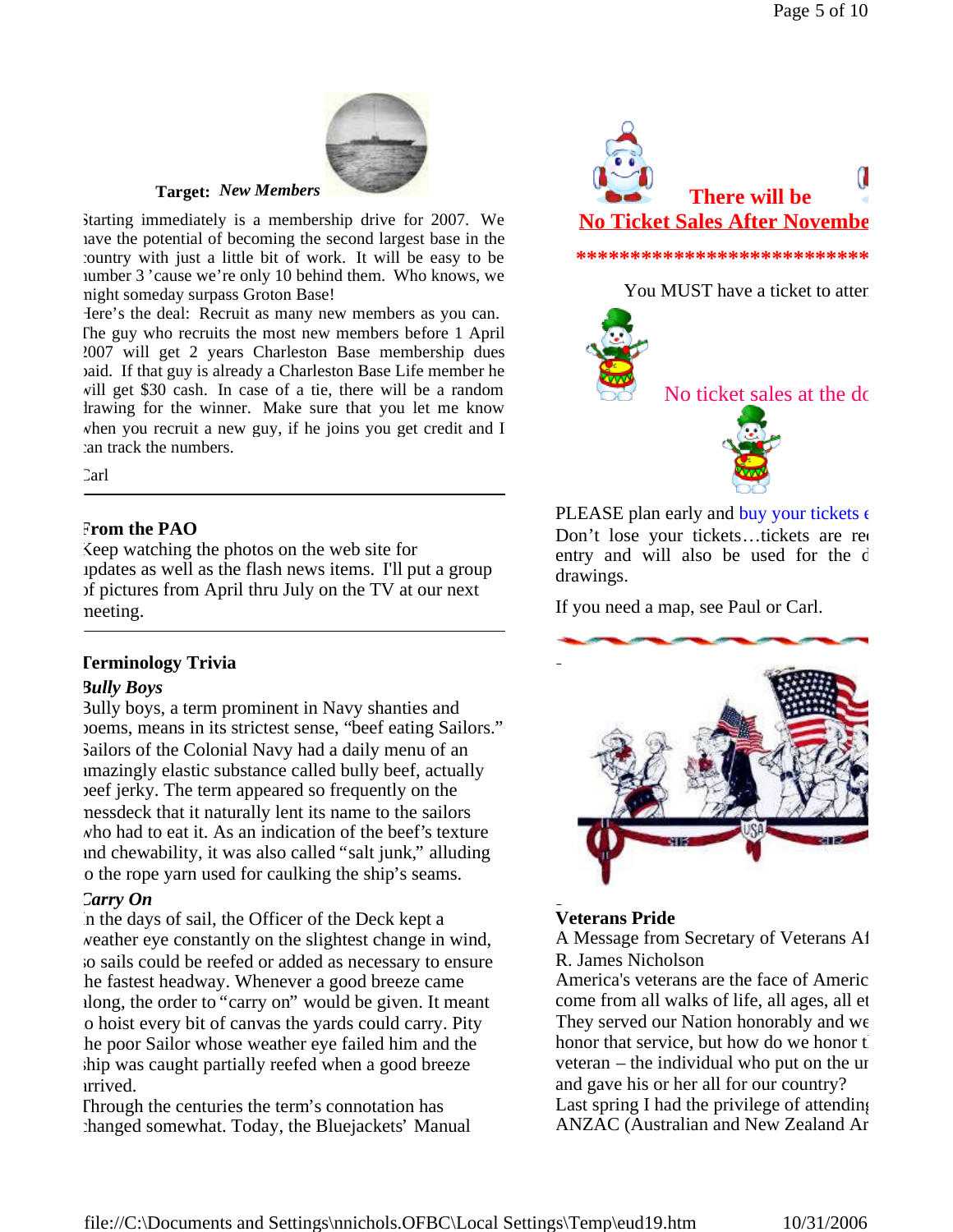

**Target:** *New Members*

Starting immediately is a membership drive for 2007. We have the potential of becoming the second largest base in the country with just a little bit of work. It will be easy to be number 3 'cause we're only 10 behind them. Who knows, we might someday surpass Groton Base!

Here's the deal: Recruit as many new members as you can. The guy who recruits the most new members before 1 April 2007 will get 2 years Charleston Base membership dues paid. If that guy is already a Charleston Base Life member he will get \$30 cash. In case of a tie, there will be a random drawing for the winner. Make sure that you let me know when you recruit a new guy, if he joins you get credit and I can track the numbers.

Carl

### **From the PAO**

Keep watching the photos on the web site for updates as well as the flash news items. I'll put a group of pictures from April thru July on the TV at our next meeting.

### **Terminology Trivia**

### *Bully Boys*

Bully boys, a term prominent in Navy shanties and poems, means in its strictest sense, "beef eating Sailors." Sailors of the Colonial Navy had a daily menu of an amazingly elastic substance called bully beef, actually beef jerky. The term appeared so frequently on the messdeck that it naturally lent its name to the sailors who had to eat it. As an indication of the beef's texture and chewability, it was also called "salt junk," alluding o the rope yarn used for caulking the ship's seams.

### *Carry On*

In the days of sail, the Officer of the Deck kept a weather eye constantly on the slightest change in wind, so sails could be reefed or added as necessary to ensure he fastest headway. Whenever a good breeze came along, the order to "carry on" would be given. It meant to hoist every bit of canvas the yards could carry. Pity he poor Sailor whose weather eye failed him and the ship was caught partially reefed when a good breeze arrived.

Through the centuries the term's connotation has changed somewhat. Today, the Bluejackets' Manual





PLEASE plan early and buy your tickets  $\epsilon$ Don't lose your tickets...tickets are required entry and will also be used for the d drawings.

If you need a map, see Paul or Carl.



# **Veterans Pride**

A Message from Secretary of Veterans Af R. James Nicholson

America's veterans are the face of Americ come from all walks of life, all ages, all et They served our Nation honorably and we honor that service, but how do we honor the veteran – the individual who put on the unit and gave his or her all for our country? Last spring I had the privilege of attending ANZAC (Australian and New Zealand Ar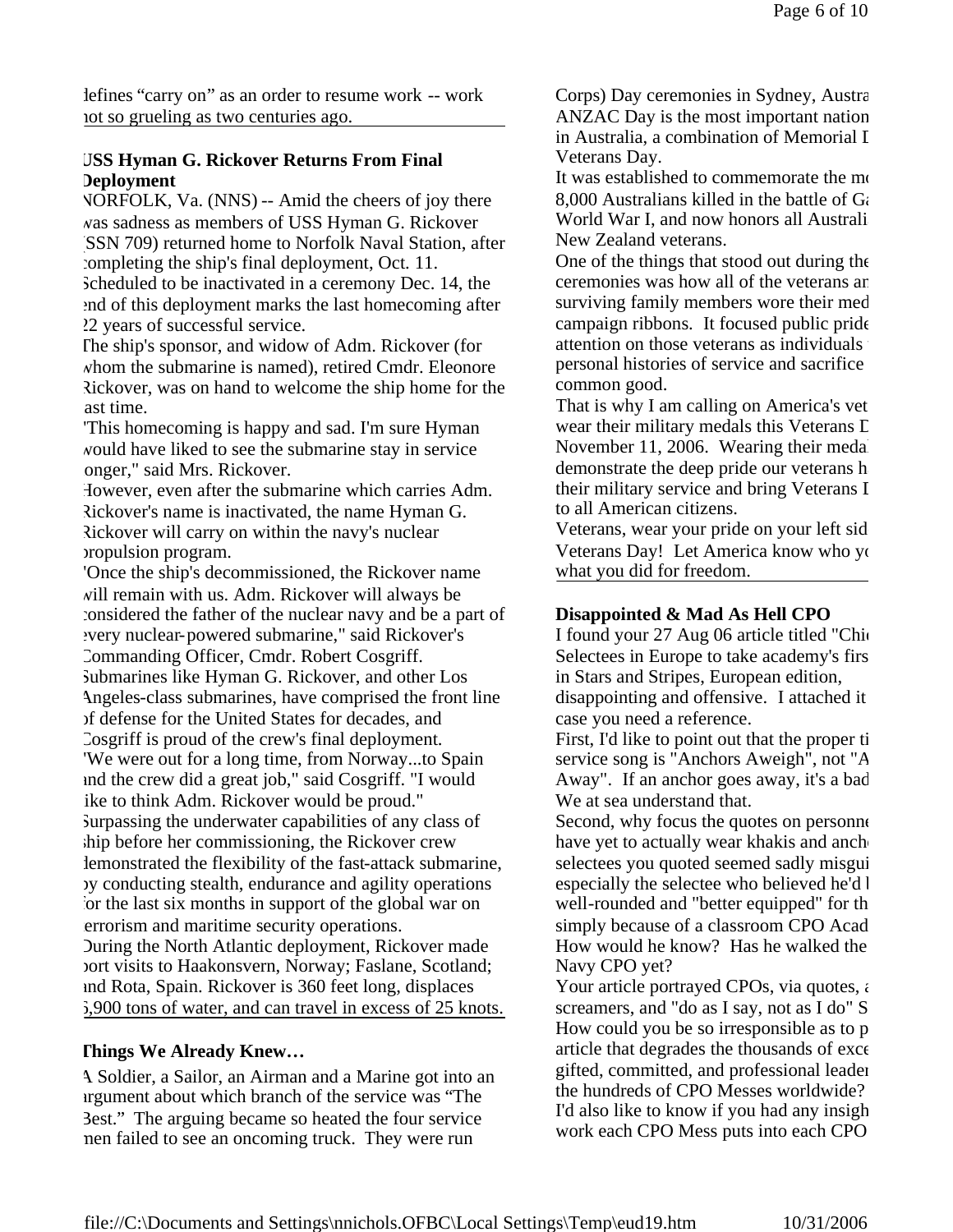defines "carry on" as an order to resume work -- work not so grueling as two centuries ago.

# **USS Hyman G. Rickover Returns From Final Deployment**

NORFOLK, Va. (NNS) -- Amid the cheers of joy there was sadness as members of USS Hyman G. Rickover (SSN 709) returned home to Norfolk Naval Station, after completing the ship's final deployment, Oct. 11. Scheduled to be inactivated in a ceremony Dec. 14, the end of this deployment marks the last homecoming after 22 years of successful service.

The ship's sponsor, and widow of Adm. Rickover (for whom the submarine is named), retired Cmdr. Eleonore Rickover, was on hand to welcome the ship home for the ast time.

"This homecoming is happy and sad. I'm sure Hyman would have liked to see the submarine stay in service onger," said Mrs. Rickover.

However, even after the submarine which carries Adm. Rickover's name is inactivated, the name Hyman G. Rickover will carry on within the navy's nuclear propulsion program.

"Once the ship's decommissioned, the Rickover name will remain with us. Adm. Rickover will always be considered the father of the nuclear navy and be a part of every nuclear-powered submarine," said Rickover's Commanding Officer, Cmdr. Robert Cosgriff. Submarines like Hyman G. Rickover, and other Los Angeles-class submarines, have comprised the front line of defense for the United States for decades, and Cosgriff is proud of the crew's final deployment. "We were out for a long time, from Norway...to Spain and the crew did a great job," said Cosgriff. "I would ike to think Adm. Rickover would be proud." Surpassing the underwater capabilities of any class of ship before her commissioning, the Rickover crew demonstrated the flexibility of the fast-attack submarine, by conducting stealth, endurance and agility operations for the last six months in support of the global war on errorism and maritime security operations. During the North Atlantic deployment, Rickover made port visits to Haakonsvern, Norway; Faslane, Scotland; and Rota, Spain. Rickover is 360 feet long, displaces 6,900 tons of water, and can travel in excess of 25 knots.

# **Things We Already Knew…**

A Soldier, a Sailor, an Airman and a Marine got into an argument about which branch of the service was "The Best." The arguing became so heated the four service men failed to see an oncoming truck. They were run

Corps) Day ceremonies in Sydney, Austral ANZAC Day is the most important nation in Australia, a combination of Memorial I Veterans Day.

It was established to commemorate the mo-8,000 Australians killed in the battle of  $G_i$ World War I, and now honors all Australi New Zealand veterans.

One of the things that stood out during the ceremonies was how all of the veterans an surviving family members wore their med campaign ribbons. It focused public pride attention on those veterans as individuals personal histories of service and sacrifice common good.

That is why I am calling on America's vet wear their military medals this Veterans  $\Gamma$ November 11, 2006. Wearing their meda demonstrate the deep pride our veterans h their military service and bring Veterans I to all American citizens.

Veterans, wear your pride on your left sid Veterans Day! Let America know who you what you did for freedom.

# **Disappointed & Mad As Hell CPO**

I found your 27 Aug 06 article titled "Chief Selectees in Europe to take academy's first in Stars and Stripes, European edition, disappointing and offensive. I attached it case you need a reference.

First, I'd like to point out that the proper ti service song is "Anchors Aweigh", not "A Away". If an anchor goes away, it's a bad We at sea understand that.

Second, why focus the quotes on personnel have yet to actually wear khakis and anch selectees you quoted seemed sadly misgui especially the selectee who believed he'd l well-rounded and "better equipped" for the simply because of a classroom CPO Acad How would he know? Has he walked the Navy CPO yet?

Your article portrayed CPOs, via quotes,  $\epsilon$ screamers, and "do as I say, not as I do"  $S$ How could you be so irresponsible as to  $p$ article that degrades the thousands of exce gifted, committed, and professional leader the hundreds of CPO Messes worldwide? I'd also like to know if you had any insight work each CPO Mess puts into each CPO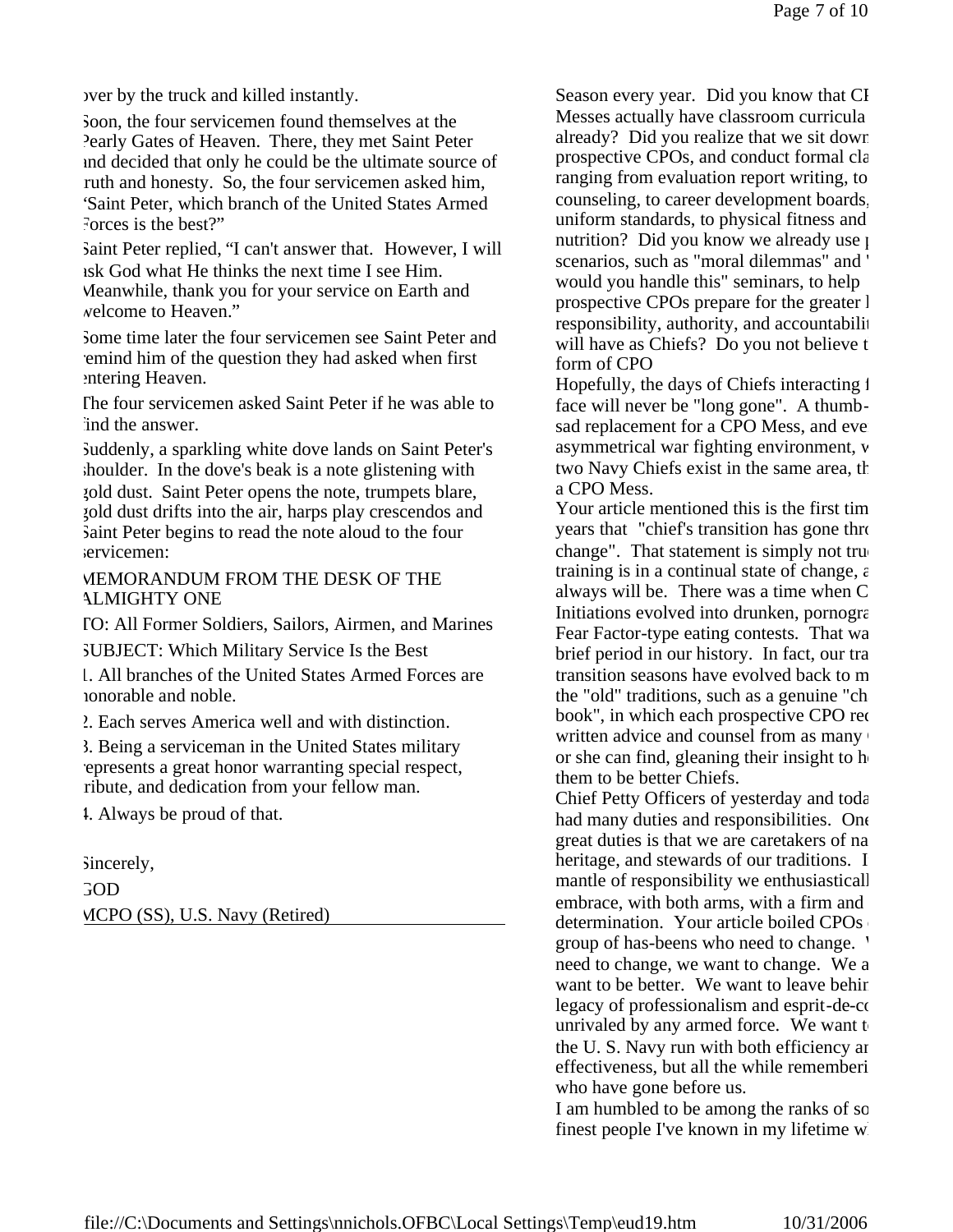over by the truck and killed instantly.

Soon, the four servicemen found themselves at the Pearly Gates of Heaven. There, they met Saint Peter and decided that only he could be the ultimate source of ruth and honesty. So, the four servicemen asked him, "Saint Peter, which branch of the United States Armed Forces is the best?"

Saint Peter replied, "I can't answer that. However, I will ask God what He thinks the next time I see Him. Meanwhile, thank you for your service on Earth and welcome to Heaven."

Some time later the four servicemen see Saint Peter and remind him of the question they had asked when first entering Heaven.

The four servicemen asked Saint Peter if he was able to ind the answer.

Suddenly, a sparkling white dove lands on Saint Peter's shoulder. In the dove's beak is a note glistening with gold dust. Saint Peter opens the note, trumpets blare, gold dust drifts into the air, harps play crescendos and Saint Peter begins to read the note aloud to the four servicemen:

MEMORANDUM FROM THE DESK OF THE ALMIGHTY ONE

TO: All Former Soldiers, Sailors, Airmen, and Marines

SUBJECT: Which Military Service Is the Best

1. All branches of the United States Armed Forces are honorable and noble.

2. Each serves America well and with distinction.

3. Being a serviceman in the United States military represents a great honor warranting special respect, ribute, and dedication from your fellow man.

4. Always be proud of that.

Sincerely, GOD MCPO (SS), U.S. Navy (Retired) Season every year. Did you know that CI Messes actually have classroom curricula already? Did you realize that we sit down prospective CPOs, and conduct formal cla ranging from evaluation report writing, to counseling, to career development boards. uniform standards, to physical fitness and nutrition? Did you know we already use  $\mu$ scenarios, such as "moral dilemmas" and ' would you handle this" seminars, to help prospective CPOs prepare for the greater l responsibility, authority, and accountability will have as Chiefs? Do you not believe that form of CPO

Hopefully, the days of Chiefs interacting 1 face will never be "long gone". A thumbsad replacement for a CPO Mess, and even asymmetrical war fighting environment, v two Navy Chiefs exist in the same area, there exists in the same area, there exists u a CPO Mess.

Your article mentioned this is the first time years that "chief's transition has gone through change". That statement is simply not true. training is in a continual state of change,  $\epsilon$ always will be. There was a time when C Initiations evolved into drunken, pornographic, Fear Factor-type eating contests. That wa brief period in our history. In fact, our tra transition seasons have evolved back to m the "old" traditions, such as a genuine "charge book", in which each prospective CPO request written advice and counsel from as many or she can find, gleaning their insight to  $h$ them to be better Chiefs.

Chief Petty Officers of yesterday and toda had many duties and responsibilities. One great duties is that we are caretakers of na heritage, and stewards of our traditions. I mantle of responsibility we enthusiasticall embrace, with both arms, with a firm and determination. Your article boiled CPOs group of has-beens who need to change. ' need to change, we want to change. We a want to be better. We want to leave behind legacy of professionalism and esprit-de-corunrivaled by any armed force. We want to the U.S. Navy run with both efficiency and effectiveness, but all the while remembering who have gone before us.

I am humbled to be among the ranks of some finest people I've known in my lifetime w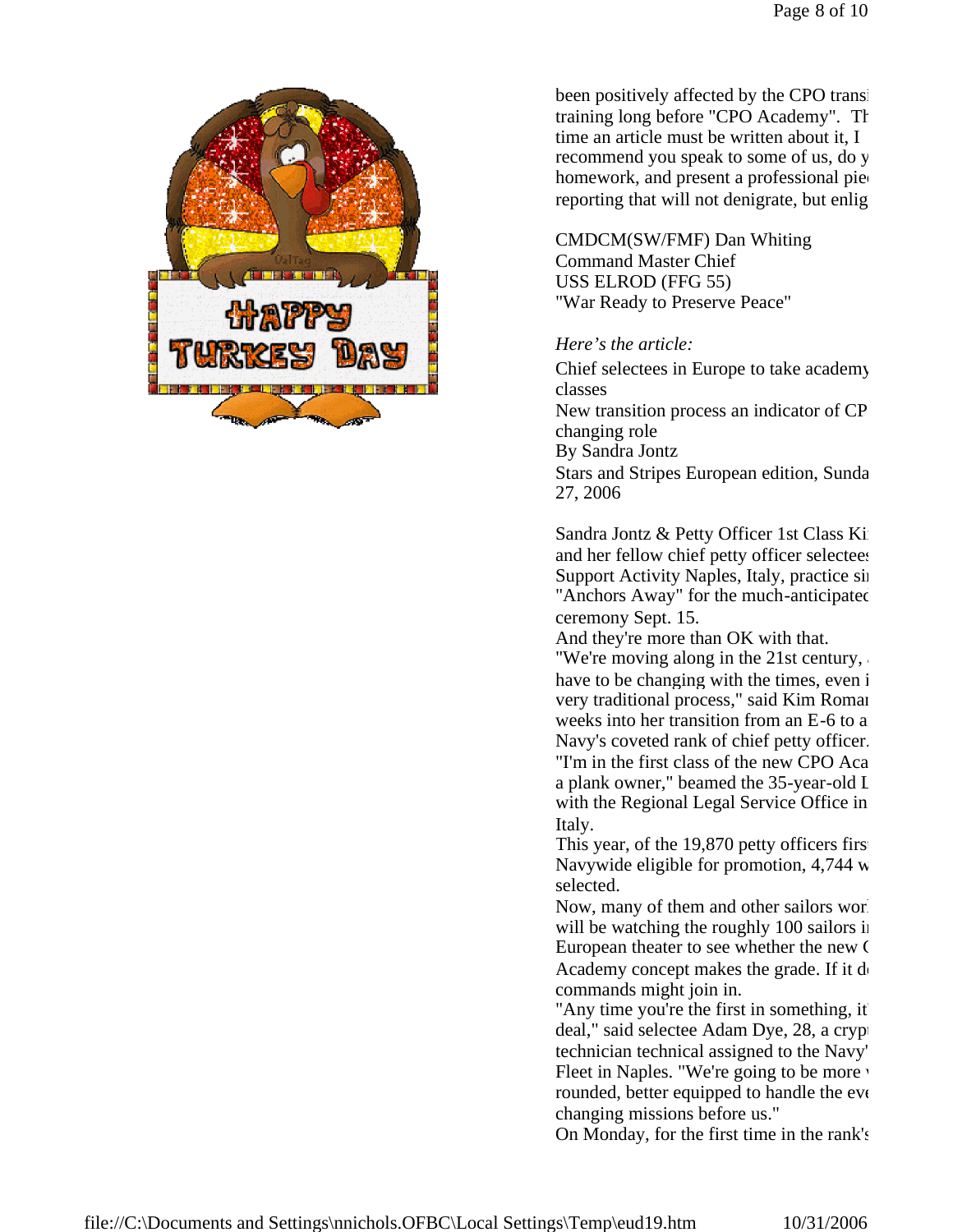

been positively affected by the CPO transitiontraining long before "CPO Academy". The time an article must be written about it, I recommend you speak to some of us, do y homework, and present a professional pied reporting that will not denigrate, but enlight

CMDCM(SW/FMF) Dan Whiting Command Master Chief USS ELROD (FFG 55) "War Ready to Preserve Peace"

## *Here's the article:*

Chief selectees in Europe to take academy classes New transition process an indicator of CP changing role By Sandra Jontz Stars and Stripes European edition, Sunda 27, 2006

Sandra Jontz & Petty Officer 1st Class Ki and her fellow chief petty officer selectees Support Activity Naples, Italy, practice single "Anchors Away" for the much-anticipated ceremony Sept. 15.

And they're more than OK with that.

"We're moving along in the  $21st$  century, have to be changing with the times, even in very traditional process," said Kim Roman weeks into her transition from an E-6 to a Navy's coveted rank of chief petty officer. "I'm in the first class of the new CPO Aca a plank owner," beamed the 35-year-old I with the Regional Legal Service Office in Italy.

This year, of the  $19,870$  petty officers first Navywide eligible for promotion,  $4,744$  w selected.

Now, many of them and other sailors worldwide will be watching the roughly 100 sailors in European theater to see whether the new  $\mathfrak C$ Academy concept makes the grade. If it  $d_1$ commands might join in.

"Any time you're the first in something, it deal," said selectee Adam Dye, 28, a cryptological technician technical assigned to the Navy' Fleet in Naples. "We're going to be more v rounded, better equipped to handle the everchanging missions before us."

On Monday, for the first time in the rank's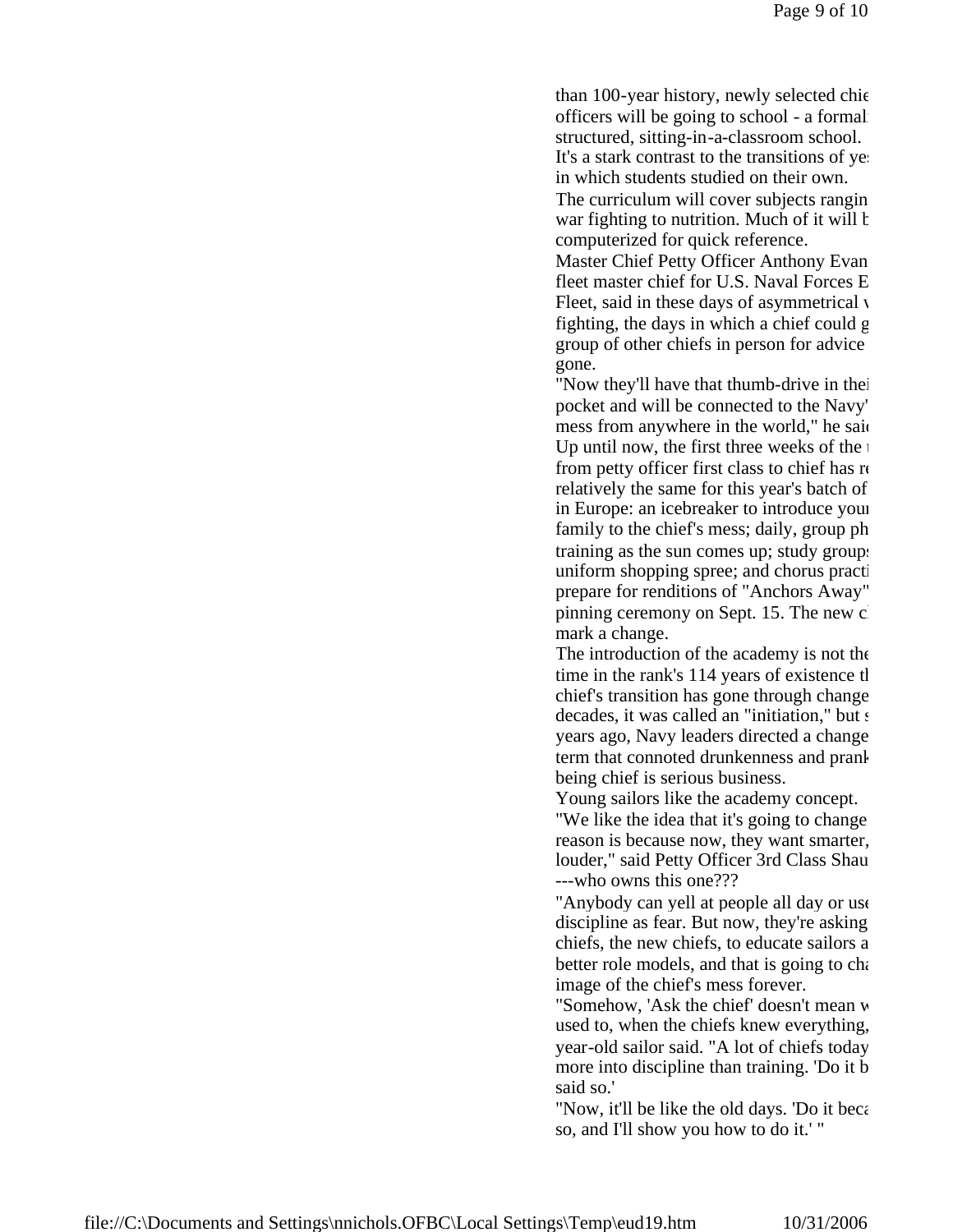than 100-year history, newly selected chief officers will be going to school - a formal structured, sitting-in-a-classroom school. It's a stark contrast to the transitions of yesterin which students studied on their own.

The curriculum will cover subjects ranging war fighting to nutrition. Much of it will be well been computerized for quick reference.

Master Chief Petty Officer Anthony Evan fleet master chief for U.S. Naval Forces E Fleet, said in these days of asymmetrical  $\nu$ fighting, the days in which a chief could  $g$ group of other chiefs in person for advice gone.

"Now they'll have that thumb-drive in their pocket and will be connected to the Navy' mess from anywhere in the world," he said Up until now, the first three weeks of the  $\frac{1}{1}$ from petty officer first class to chief has  $r<sub>i</sub>$ relatively the same for this year's batch of in Europe: an icebreaker to introduce your family to the chief's mess; daily, group ph training as the sun comes up; study groups uniform shopping spree; and chorus practi prepare for renditions of "Anchors Away" pinning ceremony on Sept. 15. The new c mark a change.

The introduction of the academy is not the time in the rank's 114 years of existence that chief's transition has gone through change. decades, it was called an "initiation," but  $s$ years ago, Navy leaders directed a change term that connoted drunkenness and prank being chief is serious business.

Young sailors like the academy concept.

"We like the idea that it's going to change." reason is because now, they want smarter, louder," said Petty Officer 3rd Class Shau ---who owns this one???

"Anybody can yell at people all day or use discipline as fear. But now, they're asking chiefs, the new chiefs, to educate sailors and bebetter role models, and that is going to change the the image of the chief's mess forever.

"Somehow, 'Ask the chief' doesn't mean w used to, when the chiefs knew everything, year-old sailor said. "A lot of chiefs today more into discipline than training. 'Do it be said so.'

"Now, it'll be like the old days. 'Do it because so, and I'll show you how to do it.' "